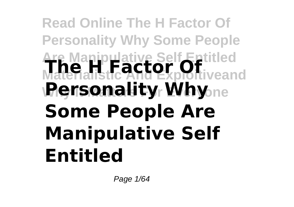## **Read Online The H Factor Of Personality Why Some People Are Manipulative Self Entitled Materialistic And Exploitiveand The H Factor Of Rensonality Why**sne **Some People Are Manipulative Self Entitled**

Page 1/64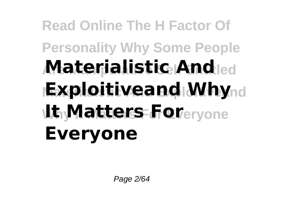# **Read Online The H Factor Of Personality Why Some People Are Manipulative Self Entitled Materialistic And Exploitiveand Why**nd **Why It Matters For Everyone It Matters For Everyone**

Page 2/64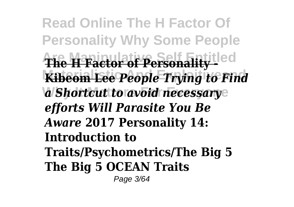**Read Online The H Factor Of Personality Why Some People Are Manipulative Self Entitled The H Factor of Personality - Kibeom Lee People Trying to Find** *a Shortcut to avoid necessary efforts Will Parasite You Be Aware* **2017 Personality 14: Introduction to Traits/Psychometrics/The Big 5 The Big 5 OCEAN Traits** Page 3/64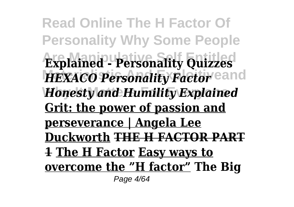**Read Online The H Factor Of Personality Why Some People Are Manipulative Self Entitled Explained - Personality Quizzes** HEXACO Personality Factor<sup>eand</sup> **Why It Matters For Everyone** *Honesty and Humility Explained* **Grit: the power of passion and perseverance | Angela Lee Duckworth THE H FACTOR PART 1 The H Factor Easy ways to overcome the "H factor" The Big** Page 4/64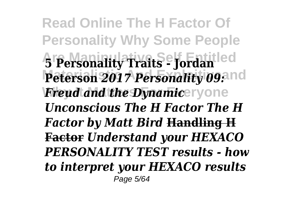**Read Online The H Factor Of Personality Why Some People Are Manipulative Self Entitled 5 Personality Traits - Jordan** Peterson 2017 Personality 09:11d *Freud and the Dynamic***eryone** *Unconscious The H Factor The H Factor by Matt Bird* **Handling H Factor** *Understand your HEXACO PERSONALITY TEST results - how to interpret your HEXACO results* Page 5/64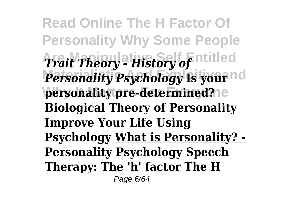**Read Online The H Factor Of Personality Why Some People Are Manipulative Self Entitled** *Trait Theory - History of Personality Psychology* Is your<sup>nd</sup> personality pre-determined?<sup>1e</sup> **Biological Theory of Personality Improve Your Life Using Psychology What is Personality? - Personality Psychology Speech Therapy: The 'h' factor The H** Page 6/64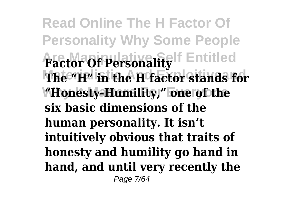**Read Online The H Factor Of Personality Why Some People factor Of Personality** Fentitled **Materialistic And Exploitiveand The "H" in the H factor stands for Why It Matters For Everyone "Honesty-Humility," one of the six basic dimensions of the human personality. It isn't intuitively obvious that traits of honesty and humility go hand in hand, and until very recently the** Page 7/64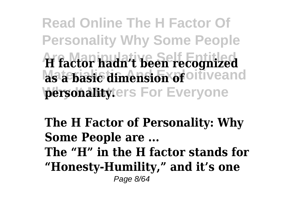**Read Online The H Factor Of Personality Why Some People Are Manipulative Self Entitled H factor hadn't been recognized as a basic dimension of** oiliveand **personality**ters For Everyone

**The H Factor of Personality: Why Some People are ... The "H" in the H factor stands for "Honesty-Humility," and it's one** Page 8/64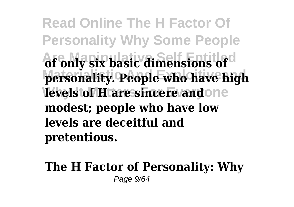**Read Online The H Factor Of Personality Why Some People Are Manipulative Self Entitled of only six basic dimensions of Materialistic And Exploitiveand personality. People who have high levels of H are sincere and one modest; people who have low levels are deceitful and pretentious.**

**The H Factor of Personality: Why** Page  $9/64$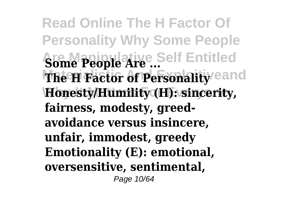**Read Online The H Factor Of Personality Why Some People Some People Are ...** Self Entitled **The H Factor of Personality eand Why It Matters For Everyone Honesty/Humility (H): sincerity, fairness, modesty, greedavoidance versus insincere, unfair, immodest, greedy Emotionality (E): emotional, oversensitive, sentimental,** Page 10/64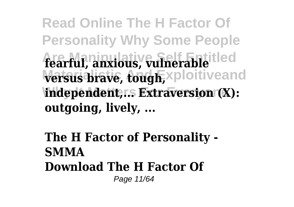**Read Online The H Factor Of Personality Why Some People Are Manipulative Self Entitled fearful, anxious, vulnerable versus brave, tough, xploitiveand** independent,r.s Extraversion (X): **outgoing, lively, ...**

## **The H Factor of Personality - SMMA Download The H Factor Of** Page 11/64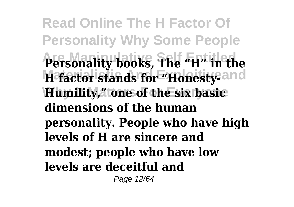**Read Online The H Factor Of Personality Why Some People Are Manipulative Self Entitled Personality books, The "H" in the** H factor stands for "Honesty-and **Why It Matters For Everyone Humility," one of the six basic dimensions of the human personality. People who have high levels of H are sincere and modest; people who have low levels are deceitful and**

Page 12/64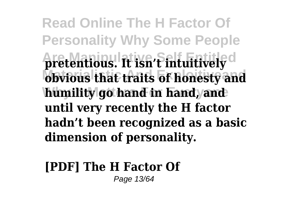**Read Online The H Factor Of Personality Why Some People Are Manipulative Self Entitled pretentious. It isn't intuitively obvious that traits of honesty and** humility go hand in hand, and **until very recently the H factor hadn't been recognized as a basic dimension of personality.**

#### **[PDF] The H Factor Of** Page 13/64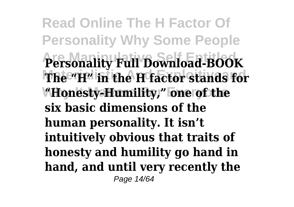**Read Online The H Factor Of Personality Why Some People Are Manipulative Self Entitled Personality Full Download-BOOK Materialistic And Exploitiveand The "H" in the H factor stands for Why It Matters For Everyone "Honesty-Humility," one of the six basic dimensions of the human personality. It isn't intuitively obvious that traits of honesty and humility go hand in hand, and until very recently the** Page 14/64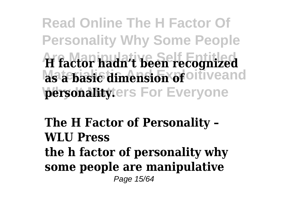**Read Online The H Factor Of Personality Why Some People Are Manipulative Self Entitled H factor hadn't been recognized as a basic dimension of** oiliveand **personality**ters For Everyone

**The H Factor of Personality – WLU Press the h factor of personality why some people are manipulative** Page 15/64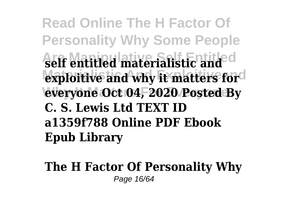**Read Online The H Factor Of Personality Why Some People Are Manipulative Self Entitled self entitled materialistic and** exploitive and why it matters for **Why It Matters For Everyone everyone Oct 04, 2020 Posted By C. S. Lewis Ltd TEXT ID a1359f788 Online PDF Ebook Epub Library**

**The H Factor Of Personality Why** Page 16/64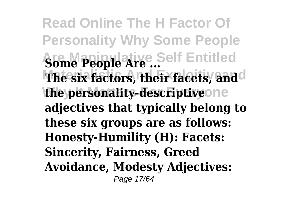**Read Online The H Factor Of Personality Why Some People Some People Are ...** Self Entitled **The six factors, their facets, and**d the personality-descriptiveone **adjectives that typically belong to these six groups are as follows: Honesty-Humility (H): Facets: Sincerity, Fairness, Greed Avoidance, Modesty Adjectives:** Page 17/64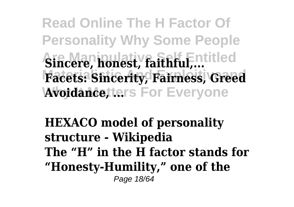**Read Online The H Factor Of Personality Why Some People Aincere, honest, faithful,... Materialistic And Exploitiveand Facets: Sincerity, Fairness, Greed Avoidance, ters For Everyone** 

**HEXACO model of personality structure - Wikipedia The "H" in the H factor stands for "Honesty-Humility," one of the** Page 18/64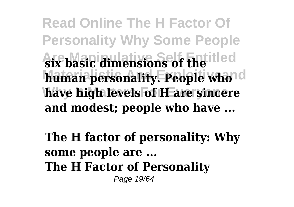**Read Online The H Factor Of Personality Why Some People Are Manipulative Self Entitled six basic dimensions of the** human personality. People whold have high levels of **H** are sincere **and modest; people who have ...**

**The H factor of personality: Why some people are ... The H Factor of Personality** Page 19/64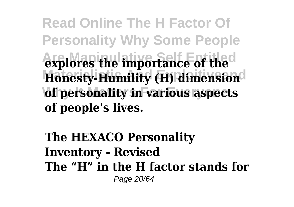**Read Online The H Factor Of Personality Why Some People Are Manipulative Self Entitled explores the importance of the Honesty-Humility (H) dimension of personality in various aspects of people's lives.**

**The HEXACO Personality Inventory - Revised The "H" in the H factor stands for** Page 20/64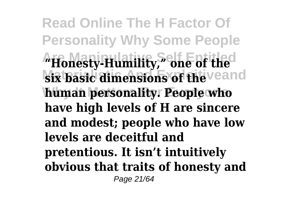**Read Online The H Factor Of Personality Why Some People Are Manipulative Self Entitled "Honesty-Humility," one of the six basic dimensions of the veand human personality. People who have high levels of H are sincere and modest; people who have low levels are deceitful and pretentious. It isn't intuitively obvious that traits of honesty and** Page 21/64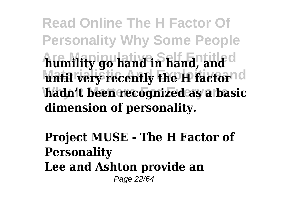**Read Online The H Factor Of Personality Why Some People Are Manipulative Self Entitled humility go hand in hand, and until very recently the H factornd Why It Matters For Everyone hadn't been recognized as a basic dimension of personality.**

**Project MUSE - The H Factor of Personality Lee and Ashton provide an** Page 22/64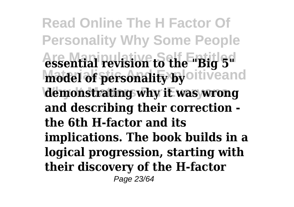**Read Online The H Factor Of Personality Why Some People Are Manipulative Self Entitled essential revision to the "Big 5"** model of personality by oitiveand demonstrating why it was wrong **and describing their correction the 6th H-factor and its implications. The book builds in a logical progression, starting with their discovery of the H-factor** Page 23/64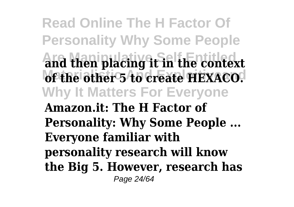**Read Online The H Factor Of Personality Why Some People Are Manipulative Self Entitled and then placing it in the context** of the other 5 to create HEXACO. **Why It Matters For Everyone Amazon.it: The H Factor of Personality: Why Some People ... Everyone familiar with personality research will know the Big 5. However, research has** Page 24/64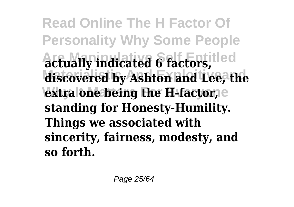**Read Online The H Factor Of Personality Why Some People Are Manipulative Self Entitled actually indicated 6 factors, Materialistic And Exploitiveand discovered by Ashton and Lee, the extra one being the H-factor,** e **standing for Honesty-Humility. Things we associated with sincerity, fairness, modesty, and so forth.**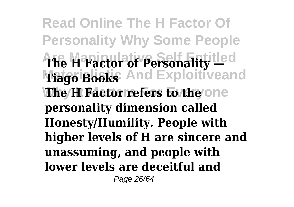**Read Online The H Factor Of Personality Why Some People Are Manipulative Self Entitled The H Factor of Personality — Mago Books** And Exploitiveand **The H Factor refers to the one personality dimension called Honesty/Humility. People with higher levels of H are sincere and unassuming, and people with lower levels are deceitful and** Page 26/64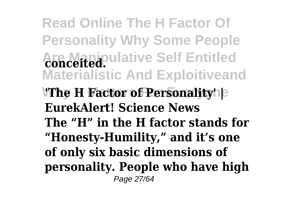**Read Online The H Factor Of Personality Why Some People Are Manipulative Self Entitled conceited. Materialistic And Exploitiveand 'The H Factor of Personality'**  $\vert$ **EurekAlert! Science News The "H" in the H factor stands for "Honesty-Humility," and it's one of only six basic dimensions of personality. People who have high** Page 27/64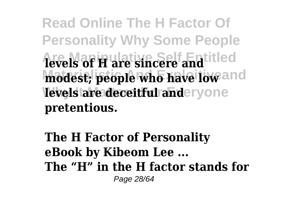**Read Online The H Factor Of Personality Why Some People Are Manipulative Self Entitled levels of H are sincere and** modest; people who have low and **levels are deceitful anderyone pretentious.**

**The H Factor of Personality eBook by Kibeom Lee ... The "H" in the H factor stands for** Page 28/64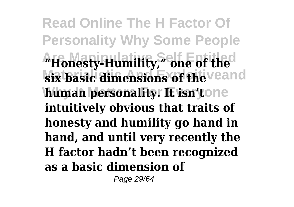**Read Online The H Factor Of Personality Why Some People Are Manipulative Self Entitled "Honesty-Humility," one of the six basic dimensions of the veand human personality. It isn'tone intuitively obvious that traits of honesty and humility go hand in hand, and until very recently the H factor hadn't been recognized as a basic dimension of**

Page 29/64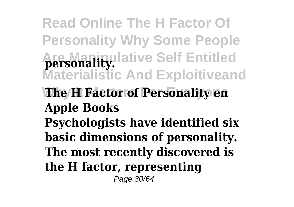**Read Online The H Factor Of Personality Why Some People Are Manipulative Self Entitled personality. Materialistic And Exploitiveand The H Factor of Personality en Apple Books Psychologists have identified six basic dimensions of personality. The most recently discovered is the H factor, representing** Page 30/64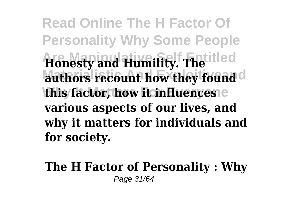**Read Online The H Factor Of Personality Why Some People Are Manipulative Self Entitled Honesty and Humility. The** authors recount how they found **this factor, how it influences various aspects of our lives, and why it matters for individuals and for society.**

### **The H Factor of Personality : Why** Page 31/64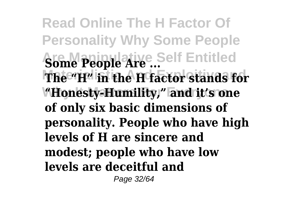**Read Online The H Factor Of Personality Why Some People Some People Are ...** Self Entitled **Materialistic And Exploitiveand The "H" in the H factor stands for Why It Matters For Everyone "Honesty-Humility," and it's one of only six basic dimensions of personality. People who have high levels of H are sincere and modest; people who have low levels are deceitful and**

Page 32/64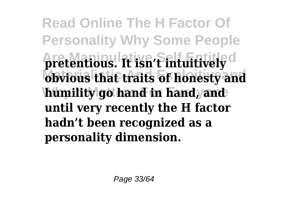**Read Online The H Factor Of Personality Why Some People Are Manipulative Self Entitled pretentious. It isn't intuitively obvious that traits of honesty and** humility go hand in hand, and **until very recently the H factor hadn't been recognized as a personality dimension.**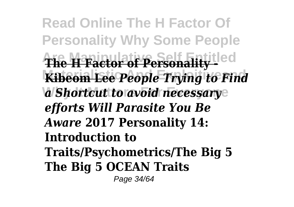**Read Online The H Factor Of Personality Why Some People Are Manipulative Self Entitled The H Factor of Personality - Kibeom Lee People Trying to Find** *a Shortcut to avoid necessary efforts Will Parasite You Be Aware* **2017 Personality 14: Introduction to Traits/Psychometrics/The Big 5 The Big 5 OCEAN Traits** Page 34/64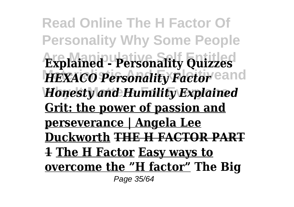**Read Online The H Factor Of Personality Why Some People Are Manipulative Self Entitled Explained - Personality Quizzes** HEXACO Personality Factor<sup>eand</sup> **Why It Matters For Everyone** *Honesty and Humility Explained* **Grit: the power of passion and perseverance | Angela Lee Duckworth THE H FACTOR PART 1 The H Factor Easy ways to overcome the "H factor" The Big** Page 35/64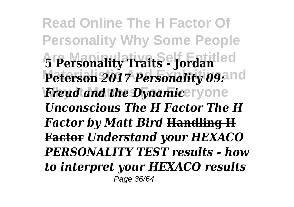**Read Online The H Factor Of Personality Why Some People Are Manipulative Self Entitled 5 Personality Traits - Jordan** Peterson 2017 Personality 09:11d *Freud and the Dynamic***eryone** *Unconscious The H Factor The H Factor by Matt Bird* **Handling H Factor** *Understand your HEXACO PERSONALITY TEST results - how to interpret your HEXACO results* Page 36/64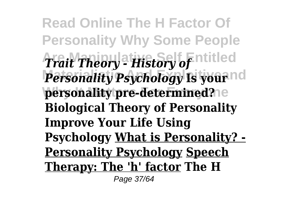**Read Online The H Factor Of Personality Why Some People Are Manipulative Self Entitled** *Trait Theory - History of Personality Psychology* Is your<sup>nd</sup> personality pre-determined?<sup>1e</sup> **Biological Theory of Personality Improve Your Life Using Psychology What is Personality? - Personality Psychology Speech Therapy: The 'h' factor The H** Page 37/64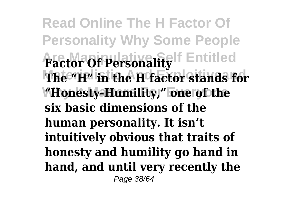**Read Online The H Factor Of Personality Why Some People factor Of Personality** Fentitled **Materialistic And Exploitiveand The "H" in the H factor stands for Why It Matters For Everyone "Honesty-Humility," one of the six basic dimensions of the human personality. It isn't intuitively obvious that traits of honesty and humility go hand in hand, and until very recently the** Page 38/64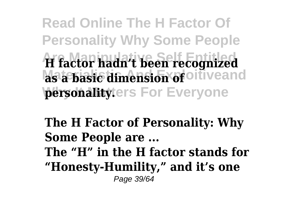**Read Online The H Factor Of Personality Why Some People Are Manipulative Self Entitled H factor hadn't been recognized as a basic dimension of** oiliveand **personality**ters For Everyone

**The H Factor of Personality: Why Some People are ... The "H" in the H factor stands for "Honesty-Humility," and it's one** Page 39/64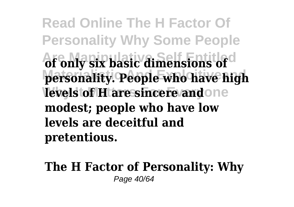**Read Online The H Factor Of Personality Why Some People Are Manipulative Self Entitled of only six basic dimensions of Materialistic And Exploitiveand personality. People who have high levels of H are sincere and one modest; people who have low levels are deceitful and pretentious.**

**The H Factor of Personality: Why** Page 40/64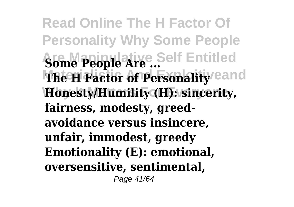**Read Online The H Factor Of Personality Why Some People Some People Are ...** Self Entitled **The H Factor of Personality eand Why It Matters For Everyone Honesty/Humility (H): sincerity, fairness, modesty, greedavoidance versus insincere, unfair, immodest, greedy Emotionality (E): emotional, oversensitive, sentimental,** Page 41/64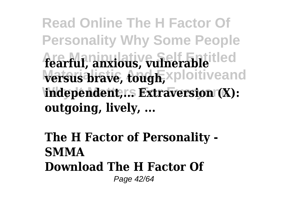**Read Online The H Factor Of Personality Why Some People Are Manipulative Self Entitled fearful, anxious, vulnerable versus brave, tough, xploitiveand** independent,r.s Extraversion (X): **outgoing, lively, ...**

## **The H Factor of Personality - SMMA Download The H Factor Of** Page 42/64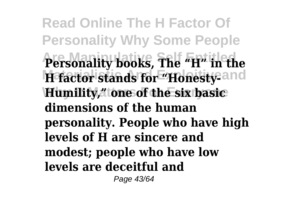**Read Online The H Factor Of Personality Why Some People Are Manipulative Self Entitled Personality books, The "H" in the** H factor stands for "Honesty-and **Why It Matters For Everyone Humility," one of the six basic dimensions of the human personality. People who have high levels of H are sincere and modest; people who have low levels are deceitful and**

Page 43/64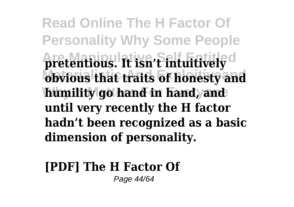**Read Online The H Factor Of Personality Why Some People Are Manipulative Self Entitled pretentious. It isn't intuitively obvious that traits of honesty and** humility go hand in hand, and **until very recently the H factor hadn't been recognized as a basic dimension of personality.**

#### **[PDF] The H Factor Of** Page 44/64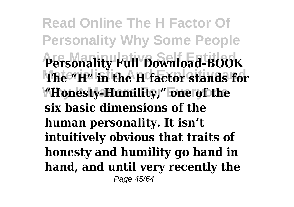**Read Online The H Factor Of Personality Why Some People Are Manipulative Self Entitled Personality Full Download-BOOK Materialistic And Exploitiveand The "H" in the H factor stands for Why It Matters For Everyone "Honesty-Humility," one of the six basic dimensions of the human personality. It isn't intuitively obvious that traits of honesty and humility go hand in hand, and until very recently the** Page 45/64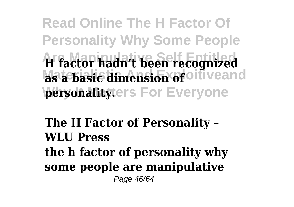**Read Online The H Factor Of Personality Why Some People Are Manipulative Self Entitled H factor hadn't been recognized as a basic dimension of** oiliveand **personality**ters For Everyone

**The H Factor of Personality – WLU Press the h factor of personality why some people are manipulative** Page 46/64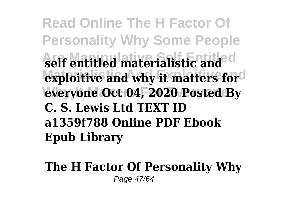**Read Online The H Factor Of Personality Why Some People Are Manipulative Self Entitled self entitled materialistic and** exploitive and why it matters for **Why It Matters For Everyone everyone Oct 04, 2020 Posted By C. S. Lewis Ltd TEXT ID a1359f788 Online PDF Ebook Epub Library**

**The H Factor Of Personality Why** Page 47/64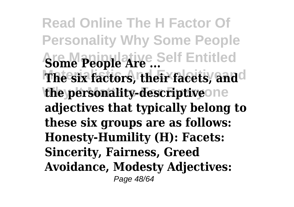**Read Online The H Factor Of Personality Why Some People Some People Are ...** Self Entitled **The six factors, their facets, and**d the personality-descriptiveone **adjectives that typically belong to these six groups are as follows: Honesty-Humility (H): Facets: Sincerity, Fairness, Greed Avoidance, Modesty Adjectives:** Page 48/64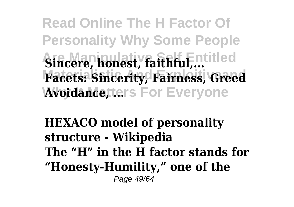**Read Online The H Factor Of Personality Why Some People Aincere, honest, faithful,... Materialistic And Exploitiveand Facets: Sincerity, Fairness, Greed Avoidance, ters For Everyone** 

**HEXACO model of personality structure - Wikipedia The "H" in the H factor stands for "Honesty-Humility," one of the** Page 49/64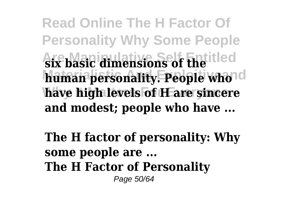**Read Online The H Factor Of Personality Why Some People Are Manipulative Self Entitled six basic dimensions of the** human personality. People whold have high levels of **H** are sincere **and modest; people who have ...**

**The H factor of personality: Why some people are ... The H Factor of Personality** Page 50/64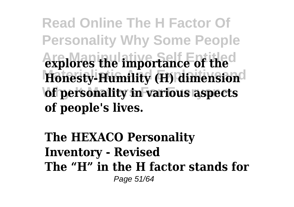**Read Online The H Factor Of Personality Why Some People Are Manipulative Self Entitled explores the importance of the Honesty-Humility (H) dimension of personality in various aspects of people's lives.**

**The HEXACO Personality Inventory - Revised The "H" in the H factor stands for** Page 51/64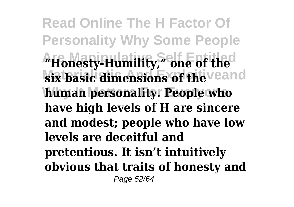**Read Online The H Factor Of Personality Why Some People Are Manipulative Self Entitled "Honesty-Humility," one of the six basic dimensions of the veand human personality. People who have high levels of H are sincere and modest; people who have low levels are deceitful and pretentious. It isn't intuitively obvious that traits of honesty and** Page 52/64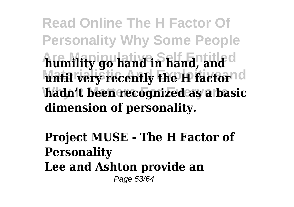**Read Online The H Factor Of Personality Why Some People Are Manipulative Self Entitled humility go hand in hand, and until very recently the H factornd Why It Matters For Everyone hadn't been recognized as a basic dimension of personality.**

**Project MUSE - The H Factor of Personality Lee and Ashton provide an** Page 53/64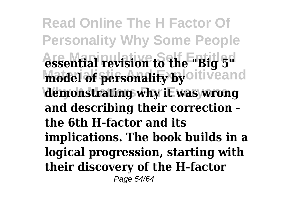**Read Online The H Factor Of Personality Why Some People Are Manipulative Self Entitled essential revision to the "Big 5"** model of personality by oitiveand demonstrating why it was wrong **and describing their correction the 6th H-factor and its implications. The book builds in a logical progression, starting with their discovery of the H-factor** Page 54/64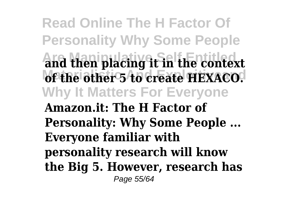**Read Online The H Factor Of Personality Why Some People Are Manipulative Self Entitled and then placing it in the context** of the other 5 to create HEXACO. **Why It Matters For Everyone Amazon.it: The H Factor of Personality: Why Some People ... Everyone familiar with personality research will know the Big 5. However, research has** Page 55/64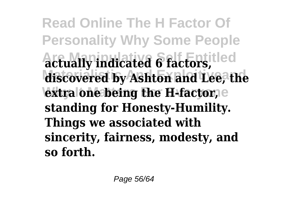**Read Online The H Factor Of Personality Why Some People Are Manipulative Self Entitled actually indicated 6 factors, Materialistic And Exploitiveand discovered by Ashton and Lee, the extra one being the H-factor,** e **standing for Honesty-Humility. Things we associated with sincerity, fairness, modesty, and so forth.**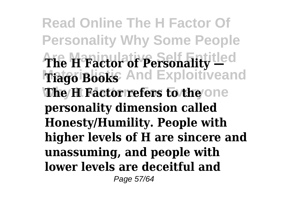**Read Online The H Factor Of Personality Why Some People Are Manipulative Self Entitled The H Factor of Personality — Mago Books** And Exploitiveand **The H Factor refers to the one personality dimension called Honesty/Humility. People with higher levels of H are sincere and unassuming, and people with lower levels are deceitful and** Page 57/64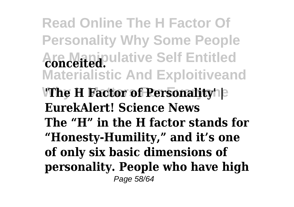**Read Online The H Factor Of Personality Why Some People Are Manipulative Self Entitled conceited. Materialistic And Exploitiveand 'The H Factor of Personality'**  $\vert$ **EurekAlert! Science News The "H" in the H factor stands for "Honesty-Humility," and it's one of only six basic dimensions of personality. People who have high** Page 58/64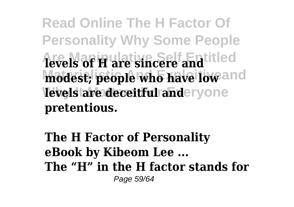**Read Online The H Factor Of Personality Why Some People Are Manipulative Self Entitled levels of H are sincere and** modest; people who have low and **levels are deceitful anderyone pretentious.**

**The H Factor of Personality eBook by Kibeom Lee ... The "H" in the H factor stands for** Page 59/64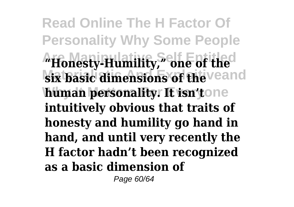**Read Online The H Factor Of Personality Why Some People Are Manipulative Self Entitled "Honesty-Humility," one of the six basic dimensions of the veand human personality. It isn'tone intuitively obvious that traits of honesty and humility go hand in hand, and until very recently the H factor hadn't been recognized as a basic dimension of**

Page 60/64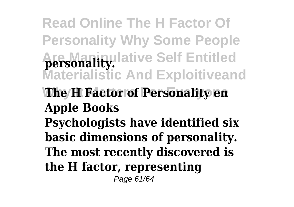**Read Online The H Factor Of Personality Why Some People Are Manipulative Self Entitled personality. Materialistic And Exploitiveand The H Factor of Personality en Apple Books Psychologists have identified six basic dimensions of personality. The most recently discovered is the H factor, representing** Page 61/64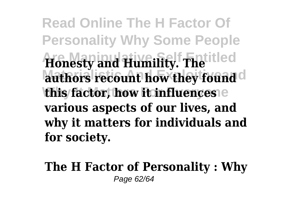**Read Online The H Factor Of Personality Why Some People Are Manipulative Self Entitled Honesty and Humility. The** authors recount how they found **this factor, how it influences various aspects of our lives, and why it matters for individuals and for society.**

**The H Factor of Personality : Why** Page 62/64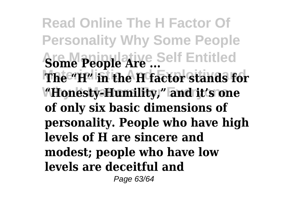**Read Online The H Factor Of Personality Why Some People Some People Are ...** Self Entitled **Materialistic And Exploitiveand The "H" in the H factor stands for Why It Matters For Everyone "Honesty-Humility," and it's one of only six basic dimensions of personality. People who have high levels of H are sincere and modest; people who have low levels are deceitful and** Page 63/64